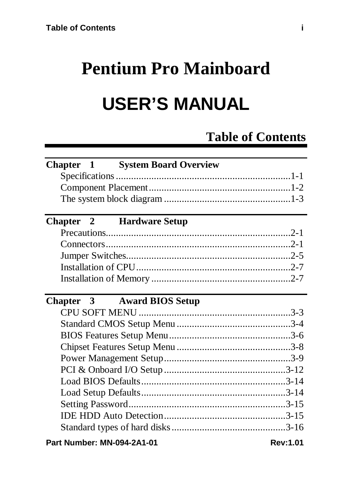# **Pentium Pro Mainboard**

# **USER'S MANUAL**

# **Table of Contents**

| <b>Chapter 1 System Board Overview</b> |                 |  |
|----------------------------------------|-----------------|--|
|                                        |                 |  |
|                                        |                 |  |
|                                        |                 |  |
|                                        |                 |  |
| <b>Chapter 2 Hardware Setup</b>        |                 |  |
|                                        |                 |  |
|                                        |                 |  |
|                                        |                 |  |
|                                        |                 |  |
|                                        |                 |  |
|                                        |                 |  |
| Chapter 3 Award BIOS Setup             |                 |  |
|                                        |                 |  |
|                                        |                 |  |
|                                        |                 |  |
|                                        |                 |  |
|                                        |                 |  |
|                                        |                 |  |
|                                        |                 |  |
|                                        |                 |  |
|                                        |                 |  |
|                                        |                 |  |
|                                        |                 |  |
| Part Number: MN-094-2A1-01             | <b>Rev:1.01</b> |  |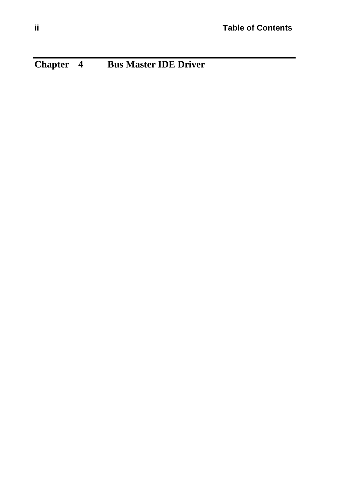**Chapter 4 Bus Master IDE Driver**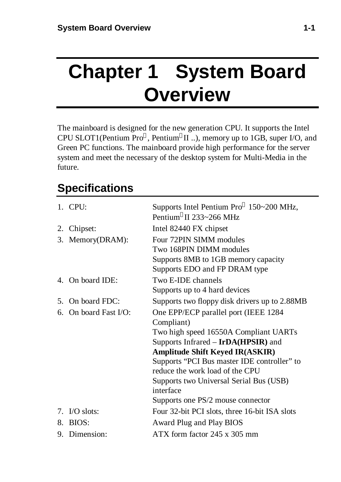# **Chapter 1 System Board Overview**

The mainboard is designed for the new generation CPU. It supports the Intel CPU SLOT1(Pentium  $Pro^{\circledast}$ , Pentium ${}^{\circledast}$ II ..), memory up to 1GB, super I/O, and Green PC functions. The mainboard provide high performance for the server system and meet the necessary of the desktop system for Multi-Media in the future.

# **Specifications**

|    | $1.$ CPU:          | Supports Intel Pentium Pro <sup>®</sup> 150~200 MHz,<br>Pentium®II 233~266 MHz |
|----|--------------------|--------------------------------------------------------------------------------|
|    | 2. Chipset:        | Intel 82440 FX chipset                                                         |
|    | 3. Memory(DRAM):   | Four 72PIN SIMM modules                                                        |
|    |                    | Two 168PIN DIMM modules                                                        |
|    |                    | Supports 8MB to 1GB memory capacity                                            |
|    |                    | Supports EDO and FP DRAM type                                                  |
|    | 4. On board IDE:   | Two E-IDE channels                                                             |
|    |                    | Supports up to 4 hard devices                                                  |
| 5. | On board FDC:      | Supports two floppy disk drivers up to 2.88MB                                  |
| б. | On board Fast I/O: | One EPP/ECP parallel port (IEEE 1284                                           |
|    |                    | Compliant)                                                                     |
|    |                    | Two high speed 16550A Compliant UARTs                                          |
|    |                    | Supports Infrared - IrDA(HPSIR) and                                            |
|    |                    | <b>Amplitude Shift Keyed IR(ASKIR)</b>                                         |
|    |                    | Supports "PCI Bus master IDE controller" to                                    |
|    |                    | reduce the work load of the CPU                                                |
|    |                    | Supports two Universal Serial Bus (USB)                                        |
|    |                    | interface                                                                      |
|    |                    | Supports one PS/2 mouse connector                                              |
|    | 7. I/O slots:      | Four 32-bit PCI slots, three 16-bit ISA slots                                  |
|    | 8. BIOS:           | Award Plug and Play BIOS                                                       |
|    | 9. Dimension:      | $ATX$ form factor 245 x 305 mm                                                 |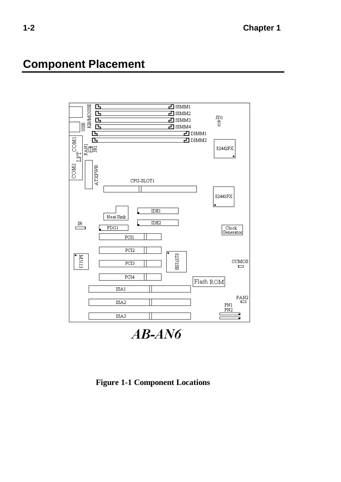## **Component Placement**



 $AB$ -AN6

**Figure 1-1 Component Locations**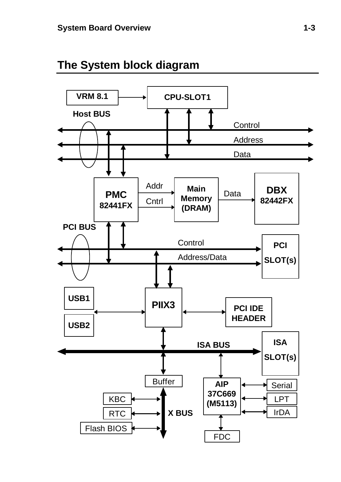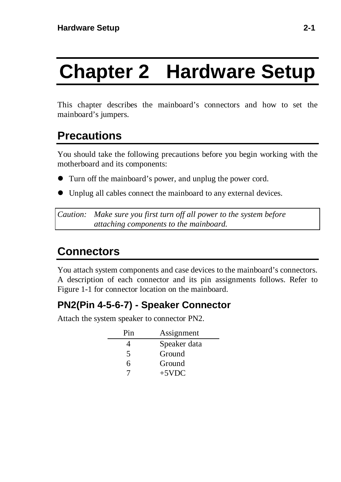# **Chapter 2 Hardware Setup**

This chapter describes the mainboard's connectors and how to set the mainboard's jumpers.

# **Precautions**

You should take the following precautions before you begin working with the motherboard and its components:

- l Turn off the mainboard's power, and unplug the power cord.
- Unplug all cables connect the mainboard to any external devices.

*Caution: Make sure you first turn off all power to the system before attaching components to the mainboard.*

# **Connectors**

You attach system components and case devices to the mainboard's connectors. A description of each connector and its pin assignments follows. Refer to Figure 1-1 for connector location on the mainboard.

#### **PN2(Pin 4-5-6-7) - Speaker Connector**

Attach the system speaker to connector PN2.

| Pin | Assignment   |
|-----|--------------|
|     | Speaker data |
| 5   | Ground       |
| 6   | Ground       |
|     | $+5VDC$      |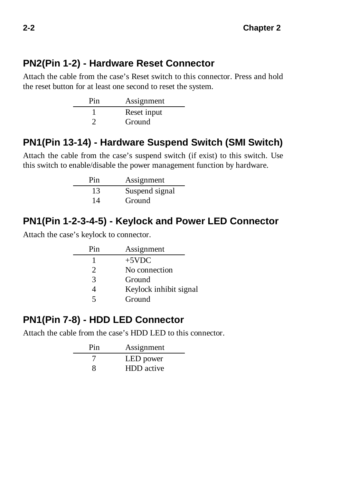#### **PN2(Pin 1-2) - Hardware Reset Connector**

Attach the cable from the case's Reset switch to this connector. Press and hold the reset button for at least one second to reset the system.

| Pin | Assignment  |
|-----|-------------|
|     | Reset input |
|     | Ground      |

#### **PN1(Pin 13-14) - Hardware Suspend Switch (SMI Switch)**

Attach the cable from the case's suspend switch (if exist) to this switch. Use this switch to enable/disable the power management function by hardware.

| Pin | Assignment     |
|-----|----------------|
| 13  | Suspend signal |
| 14  | Ground         |

#### **PN1(Pin 1-2-3-4-5) - Keylock and Power LED Connector**

Attach the case's keylock to connector.

| Pin                         | Assignment             |
|-----------------------------|------------------------|
|                             | $+5VDC$                |
| $\mathcal{D}_{\mathcal{L}}$ | No connection          |
| 3                           | Ground                 |
|                             | Keylock inhibit signal |
| 5                           | Ground                 |

#### **PN1(Pin 7-8) - HDD LED Connector**

Attach the cable from the case's HDD LED to this connector.

| Pin | Assignment        |
|-----|-------------------|
|     | LED power         |
| x   | <b>HDD</b> active |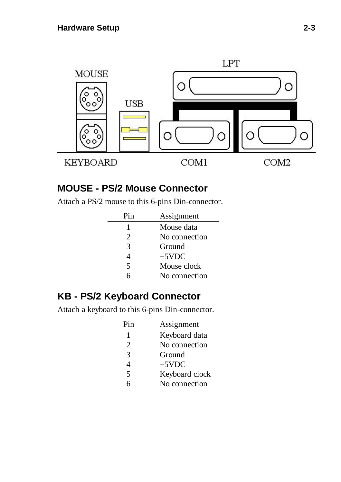

#### **MOUSE - PS/2 Mouse Connector**

Attach a PS/2 mouse to this 6-pins Din-connector.

| Pin                         | Assignment    |
|-----------------------------|---------------|
| 1                           | Mouse data    |
| $\mathcal{D}_{\mathcal{L}}$ | No connection |
| 3                           | Ground        |
| 4                           | $+5VDC$       |
| 5                           | Mouse clock   |
|                             | No connection |

#### **KB - PS/2 Keyboard Connector**

Attach a keyboard to this 6-pins Din-connector.

| Pin | Assignment     |
|-----|----------------|
|     | Keyboard data  |
| 2   | No connection  |
| 3   | Ground         |
|     | $+5VDC$        |
| 5   | Keyboard clock |
| 6   | No connection  |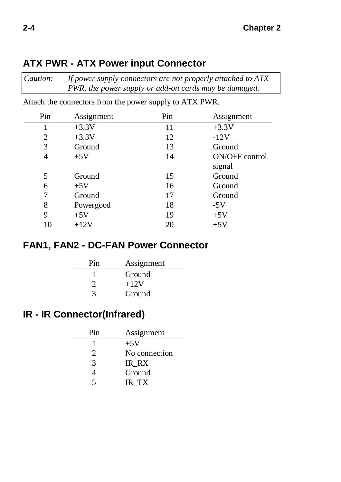| Attach the connectors from the power supply to ATX PWR. |     |                |
|---------------------------------------------------------|-----|----------------|
| Assignment                                              | Pin | Assignment     |
| $+3.3V$                                                 | 11  | $+3.3V$        |
| $+3.3V$                                                 | 12  | $-12V$         |
| Ground                                                  | 13  | Ground         |
| $+5V$                                                   | 14  | ON/OFF control |
|                                                         |     | signal         |
| Ground                                                  | 15  | Ground         |
| $+5V$                                                   | 16  | Ground         |
| Ground                                                  | 17  | Ground         |
| Powergood                                               | 18  | $-5V$          |
| $+5V$                                                   | 19  | $+5V$          |
| $+12V$                                                  | 20  | $+5V$          |
|                                                         |     |                |

*Caution: If power supply connectors are not properly attached to ATX*

*PWR, the power supply or add-on cards may be damaged.*

#### **ATX PWR - ATX Power input Connector**

#### **FAN1, FAN2 - DC-FAN Power Connector**

| Pin | Assignment |  |
|-----|------------|--|
|     | Ground     |  |
| 2   | $+12V$     |  |
| 3   | Ground     |  |

#### **IR - IR Connector(Infrared)**

| Pin | Assignment    |
|-----|---------------|
|     | $+5V$         |
| 2   | No connection |
| 3   | IR RX         |
|     | Ground        |
| 5   | IR TX         |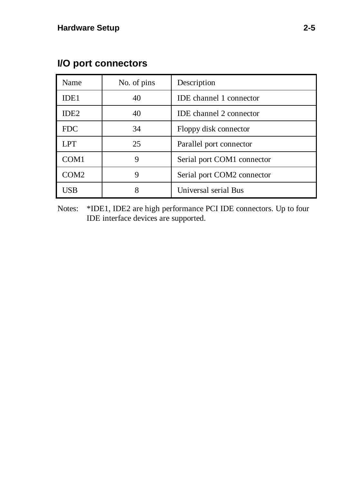| Name             | No. of pins | Description                    |
|------------------|-------------|--------------------------------|
| IDE <sub>1</sub> | 40          | <b>IDE</b> channel 1 connector |
| IDE <sub>2</sub> | 40          | <b>IDE</b> channel 2 connector |
| <b>FDC</b>       | 34          | Floppy disk connector          |
| <b>LPT</b>       | 25          | Parallel port connector        |
| COM <sub>1</sub> | 9           | Serial port COM1 connector     |
| COM <sub>2</sub> | 9           | Serial port COM2 connector     |
| USB              | 8           | Universal serial Bus           |

#### **I/O port connectors**

Notes: \*IDE1, IDE2 are high performance PCI IDE connectors. Up to four IDE interface devices are supported.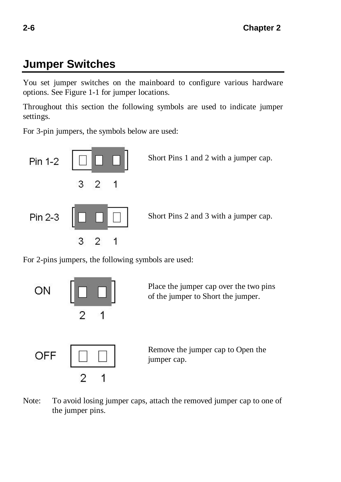# **Jumper Switches**

You set jumper switches on the mainboard to configure various hardware options. See Figure 1-1 for jumper locations.

Throughout this section the following symbols are used to indicate jumper settings.

For 3-pin jumpers, the symbols below are used:



For 2-pins jumpers, the following symbols are used:



Note: To avoid losing jumper caps, attach the removed jumper cap to one of the jumper pins.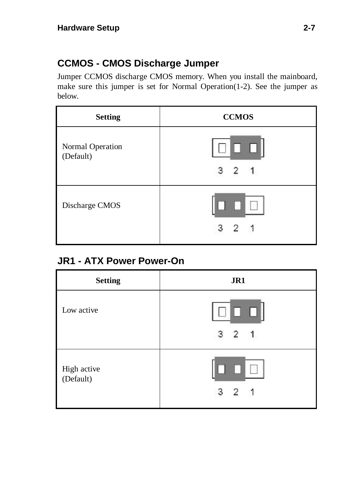#### **CCMOS - CMOS Discharge Jumper**

Jumper CCMOS discharge CMOS memory. When you install the mainboard, make sure this jumper is set for Normal Operation(1-2). See the jumper as below.

| <b>Setting</b>                | <b>CCMOS</b> |
|-------------------------------|--------------|
| Normal Operation<br>(Default) | п<br>з<br>2  |
| Discharge CMOS                |              |

#### **JR1 - ATX Power Power-On**

| <b>Setting</b>           | JR1                   |
|--------------------------|-----------------------|
| Low active               | $\Box$<br>$3 \t2 \t1$ |
| High active<br>(Default) | 2                     |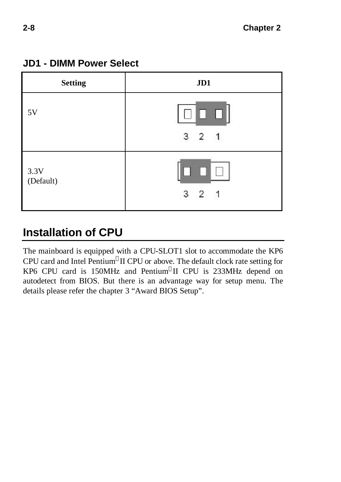

#### **JD1 - DIMM Power Select**

# **Installation of CPU**

The mainboard is equipped with a CPU-SLOT1 slot to accommodate the KP6 CPU card and Intel Pentium®II CPU or above. The default clock rate setting for KP6 CPU card is 150MHz and Pentium II CPU is 233MHz depend on autodetect from BIOS. But there is an advantage way for setup menu. The details please refer the chapter 3 "Award BIOS Setup".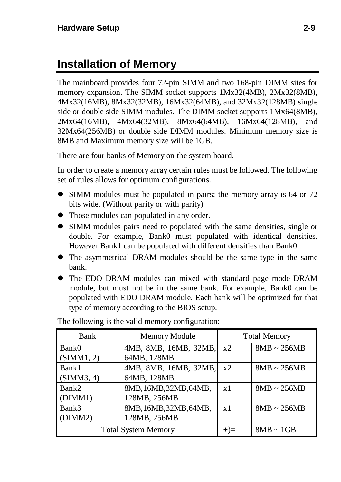# **Installation of Memory**

The mainboard provides four 72-pin SIMM and two 168-pin DIMM sites for memory expansion. The SIMM socket supports 1Mx32(4MB), 2Mx32(8MB), 4Mx32(16MB), 8Mx32(32MB), 16Mx32(64MB), and 32Mx32(128MB) single side or double side SIMM modules. The DIMM socket supports 1Mx64(8MB), 2Mx64(16MB), 4Mx64(32MB), 8Mx64(64MB), 16Mx64(128MB), and 32Mx64(256MB) or double side DIMM modules. Minimum memory size is 8MB and Maximum memory size will be 1GB.

There are four banks of Memory on the system board.

In order to create a memory array certain rules must be followed. The following set of rules allows for optimum configurations.

- SIMM modules must be populated in pairs; the memory array is 64 or 72 bits wide. (Without parity or with parity)
- Those modules can populated in any order.
- l SIMM modules pairs need to populated with the same densities, single or double. For example, Bank0 must populated with identical densities. However Bank1 can be populated with different densities than Bank0.
- The asymmetrical DRAM modules should be the same type in the same bank.
- The EDO DRAM modules can mixed with standard page mode DRAM module, but must not be in the same bank. For example, Bank0 can be populated with EDO DRAM module. Each bank will be optimized for that type of memory according to the BIOS setup.

| Bank                       | Memory Module          | <b>Total Memory</b> |                  |
|----------------------------|------------------------|---------------------|------------------|
| Bank0                      | 4MB, 8MB, 16MB, 32MB,  | x2                  | $8MB \sim 256MB$ |
| (SIMM1, 2)                 | 64MB, 128MB            |                     |                  |
| Bank1                      | 4MB, 8MB, 16MB, 32MB,  | x2                  | $8MB \sim 256MB$ |
| (SIMM3, 4)                 | 64MB, 128MB            |                     |                  |
| Bank2                      | 8MB, 16MB, 32MB, 64MB, | x1                  | $8MB \sim 256MB$ |
| (DIMM1)                    | 128MB, 256MB           |                     |                  |
| Bank3                      | 8MB, 16MB, 32MB, 64MB, | x1                  | $8MB \sim 256MB$ |
| (DIMM2)                    | 128MB, 256MB           |                     |                  |
| <b>Total System Memory</b> |                        | $+) =$              | $8MB \sim 1GB$   |

The following is the valid memory configuration: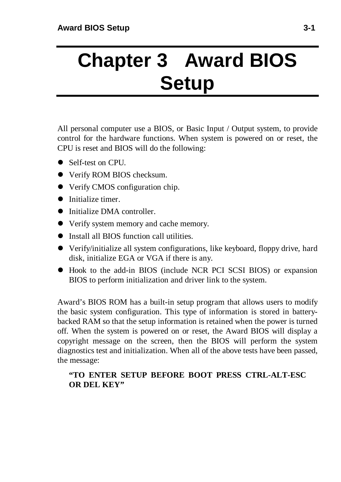# **Chapter 3 Award BIOS Setup**

All personal computer use a BIOS, or Basic Input / Output system, to provide control for the hardware functions. When system is powered on or reset, the CPU is reset and BIOS will do the following:

- Self-test on CPU.
- **•** Verify ROM BIOS checksum.
- Verify CMOS configuration chip.
- $\bullet$  Initialize timer.
- **The Initialize DMA controller.**
- Verify system memory and cache memory.
- $\bullet$  Install all BIOS function call utilities.
- Verify/initialize all system configurations, like keyboard, floppy drive, hard disk, initialize EGA or VGA if there is any.
- Hook to the add-in BIOS (include NCR PCI SCSI BIOS) or expansion BIOS to perform initialization and driver link to the system.

Award's BIOS ROM has a built-in setup program that allows users to modify the basic system configuration. This type of information is stored in batterybacked RAM so that the setup information is retained when the power is turned off. When the system is powered on or reset, the Award BIOS will display a copyright message on the screen, then the BIOS will perform the system diagnostics test and initialization. When all of the above tests have been passed, the message:

#### **"TO ENTER SETUP BEFORE BOOT PRESS CTRL-ALT-ESC OR DEL KEY"**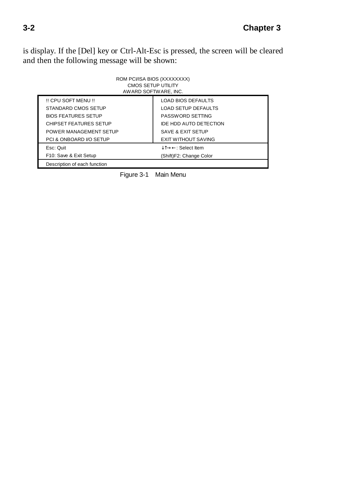is display. If the [Del] key or Ctrl-Alt-Esc is pressed, the screen will be cleared and then the following message will be shown:

| ROM PCI/ISA BIOS (XXXXXXXX)<br>CMOS SETUP UTILITY<br>AWARD SOFTWARE, INC. |                            |  |  |  |
|---------------------------------------------------------------------------|----------------------------|--|--|--|
| !! CPU SOFT MENU !!                                                       | <b>LOAD BIOS DEFAULTS</b>  |  |  |  |
| STANDARD CMOS SETUP                                                       | <b>LOAD SETUP DEFAULTS</b> |  |  |  |
| <b>BIOS FEATURES SETUP</b>                                                | PASSWORD SETTING           |  |  |  |
| CHIPSET FEATURES SETUP                                                    | IDE HDD AUTO DETECTION     |  |  |  |
| POWER MANAGEMENT SETUP                                                    | SAVE & EXIT SETUP          |  |  |  |
| PCI & ONBOARD I/O SETUP                                                   | <b>EXIT WITHOUT SAVING</b> |  |  |  |
| Esc: Quit                                                                 | ↓î→←: Select Item          |  |  |  |
| F10: Save & Exit Setup                                                    | (Shift)F2: Change Color    |  |  |  |
| Description of each function                                              |                            |  |  |  |

Figure 3-1 Main Menu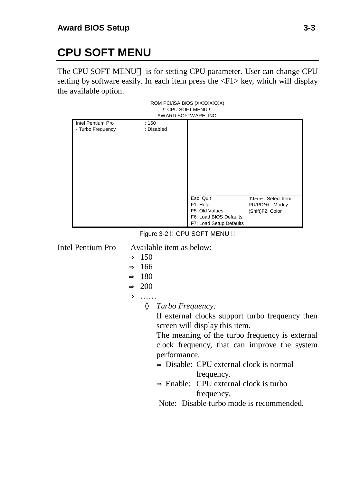# **CPU SOFT MENU**

The CPU SOFT MENU<sup>TM</sup> is for setting CPU parameter. User can change CPU setting by software easily. In each item press the  $\langle F1 \rangle$  key, which will display the available option.

| ROM PCI/ISA BIOS (XXXXXXXX)<br>!! CPU SOFT MENU !!<br>AWARD SOFTWARE, INC. |            |                         |                                       |  |  |
|----------------------------------------------------------------------------|------------|-------------------------|---------------------------------------|--|--|
| Intel Pentium Pro                                                          | :150       |                         |                                       |  |  |
| - Turbo Frequency                                                          | : Disabled |                         |                                       |  |  |
|                                                                            |            |                         |                                       |  |  |
|                                                                            |            |                         |                                       |  |  |
|                                                                            |            |                         |                                       |  |  |
|                                                                            |            |                         |                                       |  |  |
|                                                                            |            |                         |                                       |  |  |
|                                                                            |            |                         |                                       |  |  |
|                                                                            |            |                         |                                       |  |  |
|                                                                            |            | Esc: Quit<br>F1: Help   | ੀ↓→←: Select Item                     |  |  |
|                                                                            |            | F5: Old Values          | PU/PD/+/-: Modify<br>(Shift)F2: Color |  |  |
|                                                                            |            | F6: Load BIOS Defaults  |                                       |  |  |
|                                                                            |            | F7: Load Setup Defaults |                                       |  |  |

Figure 3-2 !! CPU SOFT MENU !!

Intel Pentium Pro Available item as below:

- $\Rightarrow$  150
- $\Rightarrow$  166
- ⇒ 180
- $\Rightarrow$  200

⇒ ……

*Turbo Frequency:*

If external clocks support turbo frequency then screen will display this item.

The meaning of the turbo frequency is external clock frequency, that can improve the system performance.

- ⇒ Disable: CPU external clock is normal frequency.
- $\Rightarrow$  Enable: CPU external clock is turbo frequency.

Note: Disable turbo mode is recommended.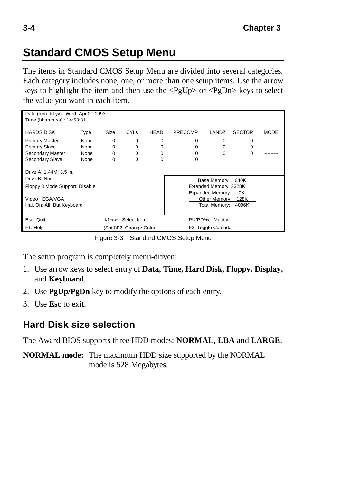# **Standard CMOS Setup Menu**

The items in Standard CMOS Setup Menu are divided into several categories. Each category includes none, one, or more than one setup items. Use the arrow keys to highlight the item and then use the  $\langle PgUp\rangle$  or  $\langle PgDn\rangle$  keys to select the value you want in each item.

|                                     | Date (mm:dd:yy) : Wed, Apr 21 1993 |          |                        |                     |                |                        |               |             |
|-------------------------------------|------------------------------------|----------|------------------------|---------------------|----------------|------------------------|---------------|-------------|
| Time (hh:mm:ss) : 14:53:31          |                                    |          |                        |                     |                |                        |               |             |
|                                     |                                    |          |                        |                     |                | LANDZ                  |               |             |
| <b>HARDS DISK</b>                   | Type                               | Size     | <b>CYL<sub>s</sub></b> | <b>HEAD</b>         | <b>PRECOMP</b> |                        | <b>SECTOR</b> | <b>MODE</b> |
| <b>Primary Master</b>               | : None                             | $\Omega$ | $\Omega$               | $\Omega$            | $\Omega$       | $\Omega$               | $\Omega$      |             |
| <b>Primary Slave</b>                | : None                             | $\Omega$ | $\Omega$               | $\Omega$            | $\Omega$       | $\Omega$               | O             |             |
| Secondary Master                    | : None                             | $\Omega$ | $\Omega$               | $\Omega$            | $\Omega$       | $\Omega$               | $\Omega$      |             |
| Secondary Slave                     | : None                             | $\Omega$ | $\Omega$               | $\Omega$            | O              |                        |               |             |
|                                     |                                    |          |                        |                     |                |                        |               |             |
| Drive A: 1.44M, 3.5 in.             |                                    |          |                        |                     |                |                        |               |             |
| Drive B: None                       |                                    |          |                        |                     |                | Base Memory: 640K      |               |             |
| Floppy 3 Mode Support: Disable      |                                    |          |                        |                     |                | Extended Memory: 3328K |               |             |
|                                     |                                    |          |                        |                     |                | Expanded Memory:       | 0K            |             |
| Video: EGA/VGA                      |                                    |          |                        |                     |                | Other Memory: 128K     |               |             |
| Halt On: All, But Keyboard          |                                    |          |                        |                     |                | Total Memory:          | 4096K         |             |
|                                     |                                    |          |                        |                     |                |                        |               |             |
| Esc: Quit                           |                                    |          | ↓T→←: Select Item      |                     |                | PU/PD/+/-: Modify      |               |             |
| (Shift)F2: Change Color<br>F1: Help |                                    |          |                        | F3: Toggle Calendar |                |                        |               |             |

Figure 3-3 Standard CMOS Setup Menu

The setup program is completely menu-driven:

- 1. Use arrow keys to select entry of **Data, Time, Hard Disk, Floppy, Display,** and **Keyboard**.
- 2. Use **PgUp/PgDn** key to modify the options of each entry.
- 3. Use **Esc** to exit.

#### **Hard Disk size selection**

The Award BIOS supports three HDD modes: **NORMAL, LBA** and **LARGE**.

**NORMAL mode:** The maximum HDD size supported by the NORMAL mode is 528 Megabytes.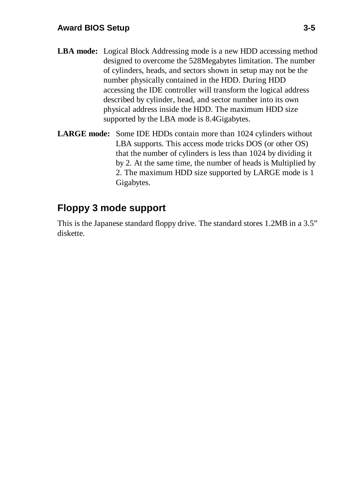#### **Award BIOS Setup 3-5**

- **LBA mode:** Logical Block Addressing mode is a new HDD accessing method designed to overcome the 528Megabytes limitation. The number of cylinders, heads, and sectors shown in setup may not be the number physically contained in the HDD. During HDD accessing the IDE controller will transform the logical address described by cylinder, head, and sector number into its own physical address inside the HDD. The maximum HDD size supported by the LBA mode is 8.4Gigabytes.
- **LARGE mode:** Some IDE HDDs contain more than 1024 cylinders without LBA supports. This access mode tricks DOS (or other OS) that the number of cylinders is less than 1024 by dividing it by 2. At the same time, the number of heads is Multiplied by 2. The maximum HDD size supported by LARGE mode is 1 Gigabytes.

#### **Floppy 3 mode support**

This is the Japanese standard floppy drive. The standard stores 1.2MB in a 3.5" diskette.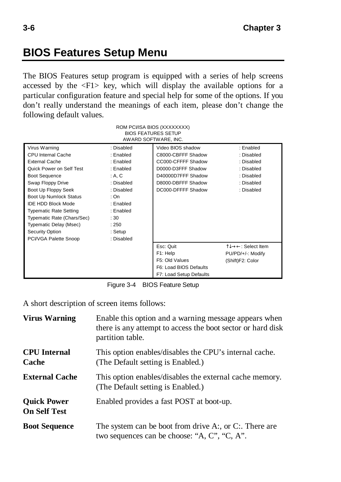## **BIOS Features Setup Menu**

The BIOS Features setup program is equipped with a series of help screens accessed by the  $\langle F1 \rangle$  key, which will display the available options for a particular configuration feature and special help for some of the options. If you don't really understand the meanings of each item, please don't change the following default values.

| ROM PCI/ISA BIOS (XXXXXXXX)<br><b>BIOS FEATURES SETUP</b><br>AWARD SOFTWARE, INC. |                         |                                         |                         |  |  |
|-----------------------------------------------------------------------------------|-------------------------|-----------------------------------------|-------------------------|--|--|
| Virus Warning<br>CPU Internal Cache                                               | : Disabled<br>: Enabled | Video BIOS shadow<br>C8000-CBFFF Shadow | : Enabled<br>: Disabled |  |  |
| <b>External Cache</b>                                                             | : Enabled               | CC000-CFFFF Shadow                      | : Disabled              |  |  |
| Quick Power on Self Test                                                          | : Enabled               | D0000-D3FFF Shadow                      | : Disabled              |  |  |
| <b>Boot Sequence</b>                                                              | : A, C                  | D40000D7FFF Shadow                      | : Disabled              |  |  |
| Swap Floppy Drive                                                                 | : Disabled              | D8000-DBFFF Shadow                      | : Disabled              |  |  |
| Boot Up Floppy Seek                                                               | : Disabled              | DC000-DFFFF Shadow                      | : Disabled              |  |  |
| Boot Up Numlock Status                                                            | : On                    |                                         |                         |  |  |
| <b>IDE HDD Block Mode</b>                                                         | : Enabled               |                                         |                         |  |  |
| : Enabled<br><b>Typematic Rate Setting</b>                                        |                         |                                         |                         |  |  |
| Typematic Rate (Chars/Sec)<br>:30                                                 |                         |                                         |                         |  |  |
| Typematic Delay (Msec)                                                            | : 250                   |                                         |                         |  |  |
| Security Option                                                                   | : Setup                 |                                         |                         |  |  |
| PCI/VGA Palette Snoop                                                             | : Disabled              |                                         |                         |  |  |
|                                                                                   |                         | Esc: Quit                               | ੀ↓→←: Select Item       |  |  |
|                                                                                   |                         | F1: Help                                | PU/PD/+/-: Modify       |  |  |
|                                                                                   |                         | F5: Old Values                          | (Shift)F2: Color        |  |  |
|                                                                                   |                         | F6: Load BIOS Defaults                  |                         |  |  |
|                                                                                   |                         | F7: Load Setup Defaults                 |                         |  |  |

Figure 3-4 BIOS Feature Setup

A short description of screen items follows:

| <b>Virus Warning</b>                      | Enable this option and a warning message appears when<br>there is any attempt to access the boot sector or hard disk<br>partition table. |
|-------------------------------------------|------------------------------------------------------------------------------------------------------------------------------------------|
| <b>CPU</b> Internal<br>Cache              | This option enables/disables the CPU's internal cache.<br>(The Default setting is Enabled.)                                              |
| <b>External Cache</b>                     | This option enables/disables the external cache memory.<br>(The Default setting is Enabled.)                                             |
| <b>Quick Power</b><br><b>On Self Test</b> | Enabled provides a fast POST at boot-up.                                                                                                 |
| <b>Boot Sequence</b>                      | The system can be boot from drive A:, or C:. There are<br>two sequences can be choose: "A, C", "C, A".                                   |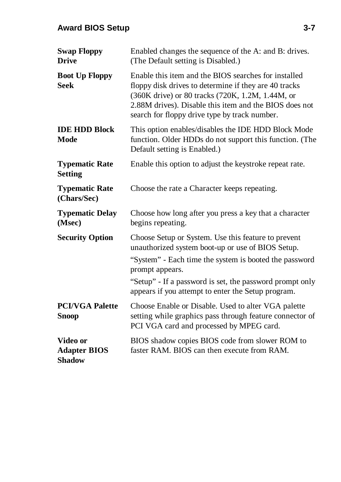#### **Award BIOS Setup 3-7**

| <b>Swap Floppy</b><br><b>Drive</b>               | Enabled changes the sequence of the A: and B: drives.<br>(The Default setting is Disabled.)                                                                                                                                                                                  |
|--------------------------------------------------|------------------------------------------------------------------------------------------------------------------------------------------------------------------------------------------------------------------------------------------------------------------------------|
| <b>Boot Up Floppy</b><br><b>Seek</b>             | Enable this item and the BIOS searches for installed<br>floppy disk drives to determine if they are 40 tracks<br>(360K drive) or 80 tracks (720K, 1.2M, 1.44M, or<br>2.88M drives). Disable this item and the BIOS does not<br>search for floppy drive type by track number. |
| <b>IDE HDD Block</b><br>Mode                     | This option enables/disables the IDE HDD Block Mode<br>function. Older HDDs do not support this function. (The<br>Default setting is Enabled.)                                                                                                                               |
| <b>Typematic Rate</b><br><b>Setting</b>          | Enable this option to adjust the keystroke repeat rate.                                                                                                                                                                                                                      |
| <b>Typematic Rate</b><br>(Chars/Sec)             | Choose the rate a Character keeps repeating.                                                                                                                                                                                                                                 |
| <b>Typematic Delay</b><br>(Msec)                 | Choose how long after you press a key that a character<br>begins repeating.                                                                                                                                                                                                  |
| <b>Security Option</b>                           | Choose Setup or System. Use this feature to prevent<br>unauthorized system boot-up or use of BIOS Setup.                                                                                                                                                                     |
|                                                  | "System" - Each time the system is booted the password<br>prompt appears.                                                                                                                                                                                                    |
|                                                  | "Setup" - If a password is set, the password prompt only<br>appears if you attempt to enter the Setup program.                                                                                                                                                               |
| <b>PCI/VGA Palette</b><br>Snoop                  | Choose Enable or Disable. Used to alter VGA palette<br>setting while graphics pass through feature connector of<br>PCI VGA card and processed by MPEG card.                                                                                                                  |
| Video or<br><b>Adapter BIOS</b><br><b>Shadow</b> | BIOS shadow copies BIOS code from slower ROM to<br>faster RAM. BIOS can then execute from RAM.                                                                                                                                                                               |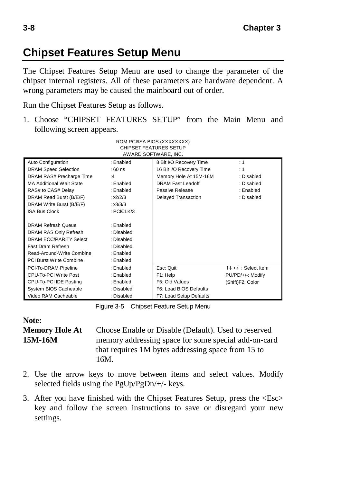## **Chipset Features Setup Menu**

The Chipset Features Setup Menu are used to change the parameter of the chipset internal registers. All of these parameters are hardware dependent. A wrong parameters may be caused the mainboard out of order.

Run the Chipset Features Setup as follows.

1. Choose "CHIPSET FEATURES SETUP" from the Main Menu and following screen appears. ROM PCI/ISA BIOS (XXXXXXXX)

| KUIVI PUJIDA DIUD (AAAAAAAA)<br><b>CHIPSET FEATURES SETUP</b><br>AWARD SOFTWARE, INC. |            |                          |                   |  |  |
|---------------------------------------------------------------------------------------|------------|--------------------------|-------------------|--|--|
| Auto Configuration                                                                    | : Enabled  | 8 Bit I/O Recovery Time  | : 1               |  |  |
| <b>DRAM Speed Selection</b>                                                           | $:60$ ns   | 16 Bit I/O Recovery Time | : 1               |  |  |
| DRAM RAS# Precharge Time                                                              | :4         | Memory Hole At 15M-16M   | : Disabled        |  |  |
| <b>MA Additional Wait State</b>                                                       | : Enabled  | <b>DRAM Fast Leadoff</b> | : Disabled        |  |  |
| RAS# to CAS# Delay                                                                    | : Enabled  | Passive Release          | : Enabled         |  |  |
| DRAM Read Burst (B/E/F)                                                               | 2/2/3      | Delayed Transaction      | : Disabled        |  |  |
| DRAM Write Burst (B/E/F)                                                              | : x3/3/3   |                          |                   |  |  |
| <b>ISA Bus Clock</b>                                                                  | : PCICLK/3 |                          |                   |  |  |
|                                                                                       |            |                          |                   |  |  |
| <b>DRAM Refresh Queue</b>                                                             | : Enabled  |                          |                   |  |  |
| DRAM RAS Only Refresh                                                                 | : Disabled |                          |                   |  |  |
| <b>DRAM ECC/PARITY Select</b>                                                         | : Disabled |                          |                   |  |  |
| <b>Fast Dram Refresh</b>                                                              | : Disabled |                          |                   |  |  |
| Read-Around-Write Combine                                                             | : Enabled  |                          |                   |  |  |
| PCI Burst Write Combine                                                               | : Enabled  |                          |                   |  |  |
| PCI-To-DRAM Pipeline                                                                  | : Enabled  | Esc: Quit                | Î↓→←: Select Item |  |  |
| CPU-To-PCI Write Post                                                                 | : Enabled  | F1: Help                 | PU/PD/+/-: Modify |  |  |
| CPU-To-PCI IDE Posting                                                                | : Enabled  | F5: Old Values           | (Shift)F2: Color  |  |  |
| System BIOS Cacheable                                                                 | : Disabled | F6: Load BIOS Defaults   |                   |  |  |
| Video RAM Cacheable                                                                   | : Disabled | F7: Load Setup Defaults  |                   |  |  |

Figure 3-5 Chipset Feature Setup Menu

# **Note:**

**Memory Hole At** Choose Enable or Disable (Default). Used to reserved **15M-16M** memory addressing space for some special add-on-card that requires 1M bytes addressing space from 15 to 16M.

- 2. Use the arrow keys to move between items and select values. Modify selected fields using the PgUp/PgDn/+/- keys.
- 3. After you have finished with the Chipset Features Setup, press the <Esc> key and follow the screen instructions to save or disregard your new settings.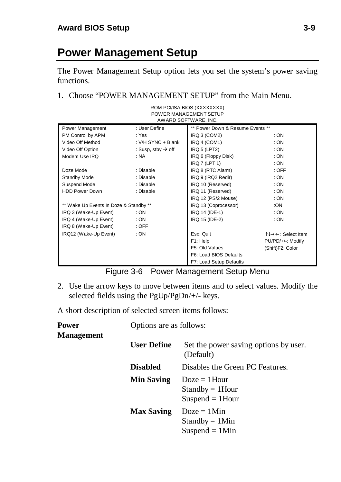# **Power Management Setup**

The Power Management Setup option lets you set the system's power saving functions.

1. Choose "POWER MANAGEMENT SETUP" from the Main Menu.

| ROM PCI/ISA BIOS (XXXXXXXX)<br>POWER MANAGEMENT SETUP<br>AWARD SOFTWARE, INC. |                                |                                  |                   |  |  |
|-------------------------------------------------------------------------------|--------------------------------|----------------------------------|-------------------|--|--|
| Power Management                                                              | : User Define                  | ** Power Down & Resume Events ** |                   |  |  |
| PM Control by APM                                                             | : Yes                          | IRQ 3 (COM2)                     | : ON              |  |  |
| Video Off Method                                                              | : V/H SYNC + Blank             | IRQ 4 (COM1)                     | :ON               |  |  |
| Video Off Option                                                              | : Susp, stby $\rightarrow$ off | IRQ <sub>5</sub> (LPT2)          | : ON              |  |  |
| Modem Use IRO                                                                 | : NA                           | IRQ 6 (Floppy Disk)              | : ON              |  |  |
|                                                                               |                                | IRQ 7 (LPT 1)                    | : ON              |  |  |
| Doze Mode                                                                     | : Disable                      | IRQ 8 (RTC Alarm)                | $:$ OFF           |  |  |
| Standby Mode                                                                  | : Disable                      | IRQ 9 (IRQ2 Redir)               | : ON              |  |  |
| Suspend Mode                                                                  | : Disable                      | IRQ 10 (Reserved)                | : ON              |  |  |
| <b>HDD Power Down</b>                                                         | : Disable                      | IRQ 11 (Reserved)                | : ON              |  |  |
|                                                                               |                                | IRQ 12 (PS/2 Mouse)              | : ON              |  |  |
| ** Wake Up Events In Doze & Standby **                                        |                                | IRQ 13 (Coprocessor)             | :ON               |  |  |
| IRQ 3 (Wake-Up Event)                                                         | : ON                           | IRQ 14 (IDE-1)                   | : ON              |  |  |
| IRQ 4 (Wake-Up Event)                                                         | : ON                           | IRQ 15 (IDE-2)                   | : ON              |  |  |
| IRQ 8 (Wake-Up Event)                                                         | $:$ OFF                        |                                  |                   |  |  |
| IRQ12 (Wake-Up Event)                                                         | : ON                           | Esc: Quit                        | Î↓→←: Select Item |  |  |
|                                                                               |                                | F1: Help                         | PU/PD/+/-: Modify |  |  |
|                                                                               |                                | F5: Old Values                   | (Shift)F2: Color  |  |  |
|                                                                               |                                | F6: Load BIOS Defaults           |                   |  |  |
|                                                                               |                                | F7: Load Setup Defaults          |                   |  |  |

Figure 3-6 Power Management Setup Menu

2. Use the arrow keys to move between items and to select values. Modify the selected fields using the PgUp/PgDn/+/- keys.

A short description of selected screen items follows:

| <b>Power</b><br><b>Management</b> | Options are as follows: |                                                             |  |
|-----------------------------------|-------------------------|-------------------------------------------------------------|--|
|                                   | <b>User Define</b>      | Set the power saving options by user.<br>(Default)          |  |
|                                   | <b>Disabled</b>         | Disables the Green PC Features.                             |  |
|                                   | <b>Min Saving</b>       | $Doze = 1$ Hour<br>$Standby = 1$ Hour<br>$Suspend = 1$ Hour |  |
|                                   | <b>Max Saving</b>       | $Doze = 1$ Min<br>$Standby = 1Min$<br>Suspend $= 1$ Min     |  |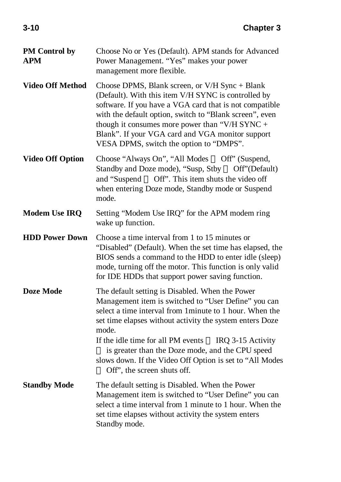| PM Control by<br>APM    | Choose No or Yes (Default). APM stands for Advanced<br>Power Management. "Yes" makes your power<br>management more flexible.                                                                                                                                                                                                                                                                                                                          |
|-------------------------|-------------------------------------------------------------------------------------------------------------------------------------------------------------------------------------------------------------------------------------------------------------------------------------------------------------------------------------------------------------------------------------------------------------------------------------------------------|
| <b>Video Off Method</b> | Choose DPMS, Blank screen, or V/H Sync + Blank<br>(Default). With this item V/H SYNC is controlled by<br>software. If you have a VGA card that is not compatible<br>with the default option, switch to "Blank screen", even<br>though it consumes more power than "V/H SYNC +<br>Blank". If your VGA card and VGA monitor support<br>VESA DPMS, switch the option to "DMPS".                                                                          |
| <b>Video Off Option</b> | Choose "Always On", "All Modes - Off" (Suspend,<br>Standby and Doze mode), "Susp, Stby - Off" (Default)<br>and "Suspend — Off". This item shuts the video off<br>when entering Doze mode, Standby mode or Suspend<br>mode.                                                                                                                                                                                                                            |
| <b>Modem Use IRQ</b>    | Setting "Modem Use IRQ" for the APM modem ring<br>wake up function.                                                                                                                                                                                                                                                                                                                                                                                   |
| <b>HDD Power Down</b>   | Choose a time interval from 1 to 15 minutes or<br>"Disabled" (Default). When the set time has elapsed, the<br>BIOS sends a command to the HDD to enter idle (sleep)<br>mode, turning off the motor. This function is only valid<br>for IDE HDDs that support power saving function.                                                                                                                                                                   |
| <b>Doze Mode</b>        | The default setting is Disabled. When the Power<br>Management item is switched to "User Define" you can<br>select a time interval from 1 minute to 1 hour. When the<br>set time elapses without activity the system enters Doze<br>mode.<br>If the idle time for all PM events - IRQ 3-15 Activity<br>- is greater than the Doze mode, and the CPU speed<br>slows down. If the Video Off Option is set to "All Modes<br>— Off", the screen shuts off. |
| <b>Standby Mode</b>     | The default setting is Disabled. When the Power<br>Management item is switched to "User Define" you can<br>select a time interval from 1 minute to 1 hour. When the<br>set time elapses without activity the system enters<br>Standby mode.                                                                                                                                                                                                           |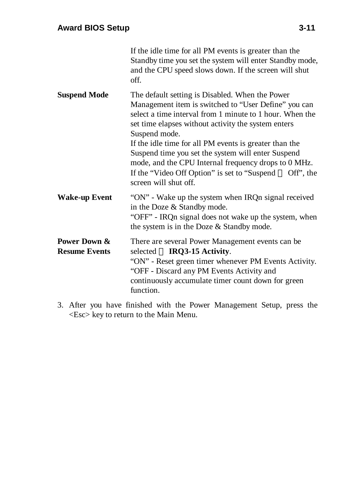|                                      | If the idle time for all PM events is greater than the<br>Standby time you set the system will enter Standby mode,<br>and the CPU speed slows down. If the screen will shut<br>off.                                                                                                                                                                                                                                                                                                                      |
|--------------------------------------|----------------------------------------------------------------------------------------------------------------------------------------------------------------------------------------------------------------------------------------------------------------------------------------------------------------------------------------------------------------------------------------------------------------------------------------------------------------------------------------------------------|
| <b>Suspend Mode</b>                  | The default setting is Disabled. When the Power<br>Management item is switched to "User Define" you can<br>select a time interval from 1 minute to 1 hour. When the<br>set time elapses without activity the system enters<br>Suspend mode.<br>If the idle time for all PM events is greater than the<br>Suspend time you set the system will enter Suspend<br>mode, and the CPU Internal frequency drops to 0 MHz.<br>If the "Video Off Option" is set to "Suspend — Off", the<br>screen will shut off. |
| <b>Wake-up Event</b>                 | "ON" - Wake up the system when IRQn signal received<br>in the Doze & Standby mode.<br>"OFF" - IRQn signal does not wake up the system, when<br>the system is in the Doze & Standby mode.                                                                                                                                                                                                                                                                                                                 |
| Power Down &<br><b>Resume Events</b> | There are several Power Management events can be<br>selected — IRQ3-15 Activity.<br>"ON" - Reset green timer whenever PM Events Activity.<br>"OFF - Discard any PM Events Activity and<br>continuously accumulate timer count down for green<br>function.                                                                                                                                                                                                                                                |

3. After you have finished with the Power Management Setup, press the <Esc> key to return to the Main Menu.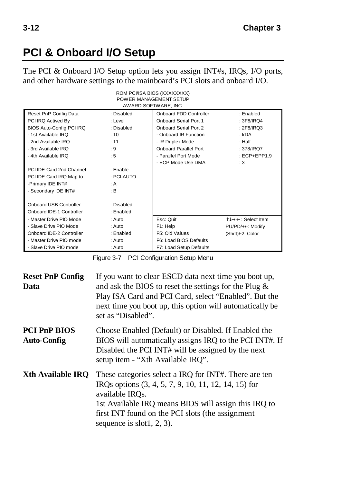# **PCI & Onboard I/O Setup**

The PCI & Onboard I/O Setup option lets you assign INT#s, IRQs, I/O ports, and other hardware settings to the mainboard's PCI slots and onboard I/O.

| ROM PCI/ISA BIOS (XXXXXXXX)<br>POWER MANAGEMENT SETUP<br>AWARD SOFTWARE, INC. |           |                                    |                   |  |  |
|-------------------------------------------------------------------------------|-----------|------------------------------------|-------------------|--|--|
| Onboard FDD Controller<br>: Enabled<br>Reset PnP Config Data<br>: Disabled    |           |                                    |                   |  |  |
| PCI IRQ Actived By                                                            | : Level   | Onboard Serial Port 1              | : 3F8/IRQ4        |  |  |
| BIOS Auto-Config PCI IRQ<br>: Disabled                                        |           | Onboard Serial Port 2              | : $2F8/IRQ3$      |  |  |
| - 1st Available IRQ                                                           | : 10      | - Onboard IR Function              | : IrDA            |  |  |
| - 2nd Available IRQ                                                           | : 11      | - IR Duplex Mode                   | : Half            |  |  |
| - 3rd Available IRO                                                           | :9        | Onboard Parallel Port              | : 378/IRQ7        |  |  |
| - 4th Available IRO                                                           | : 5       | - Parallel Port Mode               | $:ECP + EPP1.9$   |  |  |
|                                                                               |           | - ECP Mode Use DMA                 | :3                |  |  |
| PCI IDE Card 2nd Channel                                                      | : Enable  |                                    |                   |  |  |
| PCI IDE Card IRQ Map to<br>: PCI-AUTO                                         |           |                                    |                   |  |  |
| -Primary IDE INT#<br>: A                                                      |           |                                    |                   |  |  |
| - Secondary IDE INT#                                                          | : B       |                                    |                   |  |  |
|                                                                               |           |                                    |                   |  |  |
| Onboard USB Controller<br>: Disabled                                          |           |                                    |                   |  |  |
| Onboard IDE-1 Controller                                                      | : Enabled |                                    |                   |  |  |
| - Master Drive PIO Mode                                                       | $:$ Auto  | Esc: Quit                          | ੀ↓→←: Select Item |  |  |
| - Slave Drive PIO Mode                                                        | $:$ Auto  | F1: Help                           | PU/PD/+/-: Modify |  |  |
| Onboard IDE-2 Controller                                                      | : Enabled | F5: Old Values<br>(Shift)F2: Color |                   |  |  |
| - Master Drive PIO mode                                                       | $:$ Auto  | F6: Load BIOS Defaults             |                   |  |  |
| - Slave Drive PIO mode                                                        | : Auto    | F7: Load Setup Defaults            |                   |  |  |

Figure 3-7 PCI Configuration Setup Menu

| <b>Reset PnP Config</b><br>Data           | If you want to clear ESCD data next time you boot up,<br>and ask the BIOS to reset the settings for the Plug $\&$<br>Play ISA Card and PCI Card, select "Enabled". But the<br>next time you boot up, this option will automatically be<br>set as "Disabled".                  |
|-------------------------------------------|-------------------------------------------------------------------------------------------------------------------------------------------------------------------------------------------------------------------------------------------------------------------------------|
| <b>PCI PnP BIOS</b><br><b>Auto-Config</b> | Choose Enabled (Default) or Disabled. If Enabled the<br>BIOS will automatically assigns IRQ to the PCI INT#. If<br>Disabled the PCI INT# will be assigned by the next<br>setup item - "Xth Available IRQ".                                                                    |
| <b>Xth Available IRO</b>                  | These categories select a IRQ for INT#. There are ten<br>IRQs options (3, 4, 5, 7, 9, 10, 11, 12, 14, 15) for<br>available IROs.<br>1st Available IRQ means BIOS will assign this IRQ to<br>first INT found on the PCI slots (the assignment<br>sequence is slot $1, 2, 3$ ). |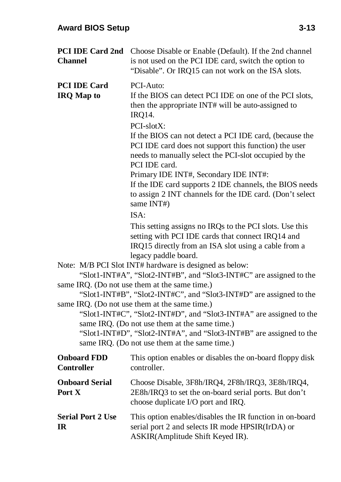| <b>Channel</b>                           | PCI IDE Card 2nd Choose Disable or Enable (Default). If the 2nd channel<br>is not used on the PCI IDE card, switch the option to<br>"Disable". Or IRQ15 can not work on the ISA slots.                                                                                                                                                                                                                                                                                                                                                                                                                                                                                                                                                                                                                                                                                                                                                                                                                                                                                                                                                                                                                                                                                                                  |  |  |
|------------------------------------------|---------------------------------------------------------------------------------------------------------------------------------------------------------------------------------------------------------------------------------------------------------------------------------------------------------------------------------------------------------------------------------------------------------------------------------------------------------------------------------------------------------------------------------------------------------------------------------------------------------------------------------------------------------------------------------------------------------------------------------------------------------------------------------------------------------------------------------------------------------------------------------------------------------------------------------------------------------------------------------------------------------------------------------------------------------------------------------------------------------------------------------------------------------------------------------------------------------------------------------------------------------------------------------------------------------|--|--|
| <b>PCI IDE Card</b><br><b>IRQ Map to</b> | PCI-Auto:<br>If the BIOS can detect PCI IDE on one of the PCI slots,<br>then the appropriate INT# will be auto-assigned to<br><b>IRQ14.</b><br>PCI-slotX:<br>If the BIOS can not detect a PCI IDE card, (because the<br>PCI IDE card does not support this function) the user<br>needs to manually select the PCI-slot occupied by the<br>PCI IDE card.<br>Primary IDE INT#, Secondary IDE INT#:<br>If the IDE card supports 2 IDE channels, the BIOS needs<br>to assign 2 INT channels for the IDE card. (Don't select<br>same INT#)<br>ISA:<br>This setting assigns no IRQs to the PCI slots. Use this<br>setting with PCI IDE cards that connect IRQ14 and<br>IRQ15 directly from an ISA slot using a cable from a<br>legacy paddle board.<br>Note: M/B PCI Slot INT# hardware is designed as below:<br>"Slot1-INT#A", "Slot2-INT#B", and "Slot3-INT#C" are assigned to the<br>same IRQ. (Do not use them at the same time.)<br>"Slot1-INT#B", "Slot2-INT#C", and "Slot3-INT#D" are assigned to the<br>same IRQ. (Do not use them at the same time.)<br>"Slot1-INT#C", "Slot2-INT#D", and "Slot3-INT#A" are assigned to the<br>same IRQ. (Do not use them at the same time.)<br>"Slot1-INT#D", "Slot2-INT#A", and "Slot3-INT#B" are assigned to the<br>same IRQ. (Do not use them at the same time.) |  |  |
| <b>Onboard FDD</b><br><b>Controller</b>  | This option enables or disables the on-board floppy disk<br>controller.                                                                                                                                                                                                                                                                                                                                                                                                                                                                                                                                                                                                                                                                                                                                                                                                                                                                                                                                                                                                                                                                                                                                                                                                                                 |  |  |
| <b>Onboard Serial</b><br>Port X          | Choose Disable, 3F8h/IRQ4, 2F8h/IRQ3, 3E8h/IRQ4,<br>2E8h/IRQ3 to set the on-board serial ports. But don't<br>choose duplicate I/O port and IRQ.                                                                                                                                                                                                                                                                                                                                                                                                                                                                                                                                                                                                                                                                                                                                                                                                                                                                                                                                                                                                                                                                                                                                                         |  |  |
| <b>Serial Port 2 Use</b><br><b>IR</b>    | This option enables/disables the IR function in on-board<br>serial port 2 and selects IR mode HPSIR(IrDA) or<br>ASKIR(Amplitude Shift Keyed IR).                                                                                                                                                                                                                                                                                                                                                                                                                                                                                                                                                                                                                                                                                                                                                                                                                                                                                                                                                                                                                                                                                                                                                        |  |  |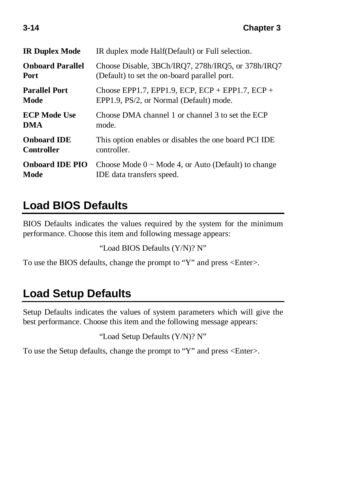| <b>IR Duplex Mode</b>   | IR duplex mode Half(Default) or Full selection.          |
|-------------------------|----------------------------------------------------------|
| <b>Onboard Parallel</b> | Choose Disable, 3BCh/IRQ7, 278h/IRQ5, or 378h/IRQ7       |
| Port                    | (Default) to set the on-board parallel port.             |
| <b>Parallel Port</b>    | Choose EPP1.7, EPP1.9, ECP, ECP + EPP1.7, ECP +          |
| Mode                    | EPP1.9, PS/2, or Normal (Default) mode.                  |
| <b>ECP Mode Use</b>     | Choose DMA channel 1 or channel 3 to set the ECP         |
| DMA                     | mode.                                                    |
| <b>Onboard IDE</b>      | This option enables or disables the one board PCI IDE    |
| <b>Controller</b>       | controller.                                              |
| <b>Onboard IDE PIO</b>  | Choose Mode $0 \sim$ Mode 4, or Auto (Default) to change |
| Mode                    | IDE data transfers speed.                                |

# **Load BIOS Defaults**

BIOS Defaults indicates the values required by the system for the minimum performance. Choose this item and following message appears:

```
"Load BIOS Defaults (Y/N)? N"
```
To use the BIOS defaults, change the prompt to "Y" and press <Enter>.

## **Load Setup Defaults**

Setup Defaults indicates the values of system parameters which will give the best performance. Choose this item and the following message appears:

```
"Load Setup Defaults (Y/N)? N"
```
To use the Setup defaults, change the prompt to "Y" and press <Enter>.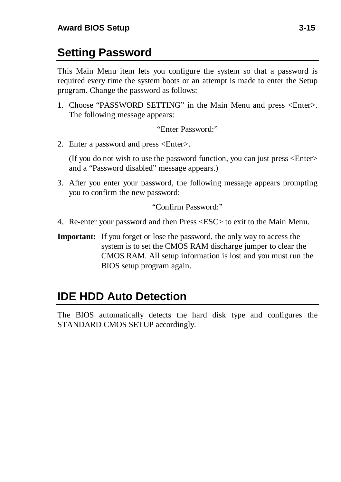# **Setting Password**

This Main Menu item lets you configure the system so that a password is required every time the system boots or an attempt is made to enter the Setup program. Change the password as follows:

1. Choose "PASSWORD SETTING" in the Main Menu and press <Enter>. The following message appears:

"Enter Password:"

2. Enter a password and press <Enter>.

(If you do not wish to use the password function, you can just press <Enter> and a "Password disabled" message appears.)

3. After you enter your password, the following message appears prompting you to confirm the new password:

"Confirm Password:"

- 4. Re-enter your password and then Press <ESC> to exit to the Main Menu.
- **Important:** If you forget or lose the password, the only way to access the system is to set the CMOS RAM discharge jumper to clear the CMOS RAM. All setup information is lost and you must run the BIOS setup program again.

## **IDE HDD Auto Detection**

The BIOS automatically detects the hard disk type and configures the STANDARD CMOS SETUP accordingly.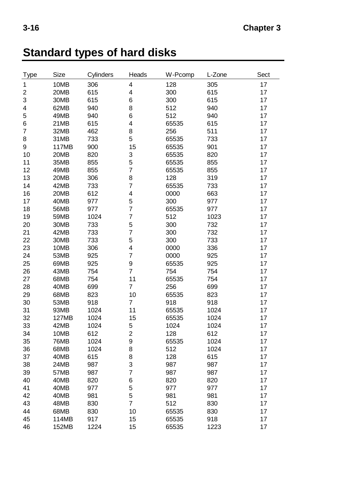# **Standard types of hard disks**

| Type           | Size        | Cylinders | Heads                   | W-Pcomp | L-Zone | Sect |
|----------------|-------------|-----------|-------------------------|---------|--------|------|
| 1              | 10MB        | 306       | 4                       | 128     | 305    | 17   |
| $\mathbf 2$    | 20MB        | 615       | 4                       | 300     | 615    | 17   |
| 3              | 30MB        | 615       | 6                       | 300     | 615    | 17   |
| $\overline{4}$ | 62MB        | 940       | 8                       | 512     | 940    | 17   |
| 5              | 49MB        | 940       | 6                       | 512     | 940    | 17   |
| 6              | 21MB        | 615       | 4                       | 65535   | 615    | 17   |
| $\overline{7}$ | 32MB        | 462       | 8                       | 256     | 511    | 17   |
| 8              | 31MB        | 733       | 5                       | 65535   | 733    | 17   |
| 9              | 117MB       | 900       | 15                      | 65535   | 901    | 17   |
| 10             | 20MB        | 820       | 3                       | 65535   | 820    | 17   |
| 11             | 35MB        | 855       | 5                       | 65535   | 855    | 17   |
| 12             | 49MB        | 855       | $\overline{7}$          | 65535   | 855    | 17   |
| 13             | 20MB        | 306       | 8                       | 128     | 319    | 17   |
| 14             | 42MB        | 733       | 7                       | 65535   | 733    | 17   |
| 16             | 20MB        | 612       | $\overline{\mathbf{4}}$ | 0000    | 663    | 17   |
| 17             | 40MB        | 977       | 5                       | 300     | 977    | 17   |
| 18             | 56MB        | 977       | 7                       | 65535   | 977    | 17   |
| 19             | 59MB        | 1024      | $\overline{7}$          | 512     | 1023   | 17   |
| 20             | 30MB        | 733       | 5                       | 300     | 732    | 17   |
| 21             | 42MB        | 733       | 7                       | 300     | 732    | 17   |
| 22             | 30MB        | 733       | 5                       | 300     | 733    | 17   |
| 23             | 10MB        | 306       | 4                       | 0000    | 336    | 17   |
| 24             | 53MB        | 925       | $\overline{7}$          | 0000    | 925    | 17   |
| 25             | 69MB        | 925       | 9                       | 65535   | 925    | 17   |
| 26             | 43MB        | 754       | 7                       | 754     | 754    | 17   |
| 27             | 68MB        | 754       | 11                      | 65535   | 754    | 17   |
| 28             | 40MB        | 699       | $\overline{7}$          | 256     | 699    | 17   |
| 29             | 68MB        | 823       | 10                      | 65535   | 823    | 17   |
| 30             | 53MB        | 918       | $\overline{7}$          | 918     | 918    | 17   |
| 31             | 93MB        | 1024      | 11                      | 65535   | 1024   | 17   |
| 32             | 127MB       | 1024      | 15                      | 65535   | 1024   | 17   |
| 33             | 42MB        | 1024      | 5                       | 1024    | 1024   | 17   |
| 34             | 10MB        | 612       | $\overline{2}$          | 128     | 612    | 17   |
| 35             | <b>76MB</b> | 1024      | 9                       | 65535   | 1024   | 17   |
| 36             | 68MB        | 1024      | 8                       | 512     | 1024   | 17   |
| 37             | 40MB        | 615       | 8                       | 128     | 615    | 17   |
| 38             | 24MB        | 987       | 3                       | 987     | 987    | 17   |
| 39             | 57MB        | 987       | $\overline{7}$          | 987     | 987    | 17   |
| 40             | 40MB        | 820       | 6                       | 820     | 820    | 17   |
| 41             | 40MB        | 977       | 5                       | 977     | 977    | 17   |
| 42             | 40MB        | 981       | 5                       | 981     | 981    | 17   |
| 43             | 48MB        | 830       | 7                       | 512     | 830    | 17   |
| 44             | 68MB        | 830       | 10                      | 65535   | 830    | 17   |
| 45             | 114MB       | 917       | 15                      | 65535   | 918    | 17   |
| 46             | 152MB       | 1224      | 15                      | 65535   | 1223   | 17   |